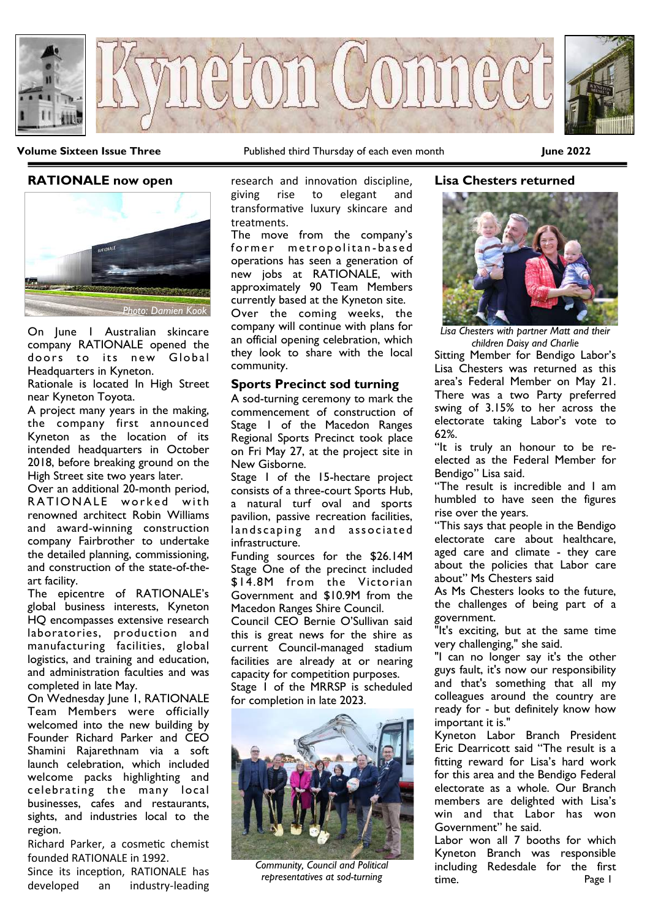

**Volume Sixteen Issue Three** Published third Thursday of each even month **June 2022**

### **RATIONALE now open**



On June 1 Australian skincare company RATIONALE opened the doors to its new Global Headquarters in Kyneton.

Rationale is located In High Street near Kyneton Toyota.

A project many years in the making, the company first announced Kyneton as the location of its intended headquarters in October 2018, before breaking ground on the High Street site two years later.

Over an additional 20-month period, RATIONALE worked with renowned architect Robin Williams and award-winning construction company Fairbrother to undertake the detailed planning, commissioning, and construction of the state-of-theart facility.

The epicentre of RATIONALE's global business interests, Kyneton HQ encompasses extensive research laboratories, production and manufacturing facilities, global logistics, and training and education, and administration faculties and was completed in late May.

On Wednesday June 1, RATIONALE Team Members were officially welcomed into the new building by Founder Richard Parker and CEO Shamini Rajarethnam via a soft launch celebration, which included welcome packs highlighting and celebrating the many local businesses, cafes and restaurants, sights, and industries local to the region.

Richard Parker, a cosmetic chemist founded RATIONALE in 1992.

Since its inception, RATIONALE has developed an industry-leading research and innovation discipline, giving rise to elegant and transformative luxury skincare and treatments.

The move from the company's former metropolitan-based operations has seen a generation of new jobs at RATIONALE, with approximately 90 Team Members currently based at the Kyneton site. Over the coming weeks, the company will continue with plans for an official opening celebration, which they look to share with the local community.

### **Sports Precinct sod turning**

A sod-turning ceremony to mark the commencement of construction of Stage 1 of the Macedon Ranges Regional Sports Precinct took place on Fri May 27, at the project site in New Gisborne.

Stage 1 of the 15-hectare project consists of a three-court Sports Hub, a natural turf oval and sports pavilion, passive recreation facilities, landscaping and associated infrastructure.

Funding sources for the \$26.14M Stage One of the precinct included \$14.8M from the Victorian Government and \$10.9M from the Macedon Ranges Shire Council.

Council CEO Bernie O'Sullivan said this is great news for the shire as current Council-managed stadium facilities are already at or nearing capacity for competition purposes. Stage 1 of the MRRSP is scheduled for completion in late 2023.



*Community, Council and Political representatives at sod-turning*

# **Lisa Chesters returned**



*Lisa Chesters with partner Matt and their children Daisy and Charlie*

Sitting Member for Bendigo Labor's Lisa Chesters was returned as this area's Federal Member on May 21. There was a two Party preferred swing of 3.15% to her across the electorate taking Labor's vote to 62%.

"It is truly an honour to be reelected as the Federal Member for Bendigo" Lisa said.

"The result is incredible and I am humbled to have seen the figures rise over the years.

"This says that people in the Bendigo electorate care about healthcare, aged care and climate - they care about the policies that Labor care about" Ms Chesters said

As Ms Chesters looks to the future, the challenges of being part of a government.

"It's exciting, but at the same time very challenging," she said.

"I can no longer say it's the other guys fault, it's now our responsibility and that's something that all my colleagues around the country are ready for - but definitely know how important it is."

Kyneton Labor Branch President Eric Dearricott said "The result is a fitting reward for Lisa's hard work for this area and the Bendigo Federal electorate as a whole. Our Branch members are delighted with Lisa's win and that Labor has won Government" he said.

Page 1 Labor won all 7 booths for which Kyneton Branch was responsible including Redesdale for the first time.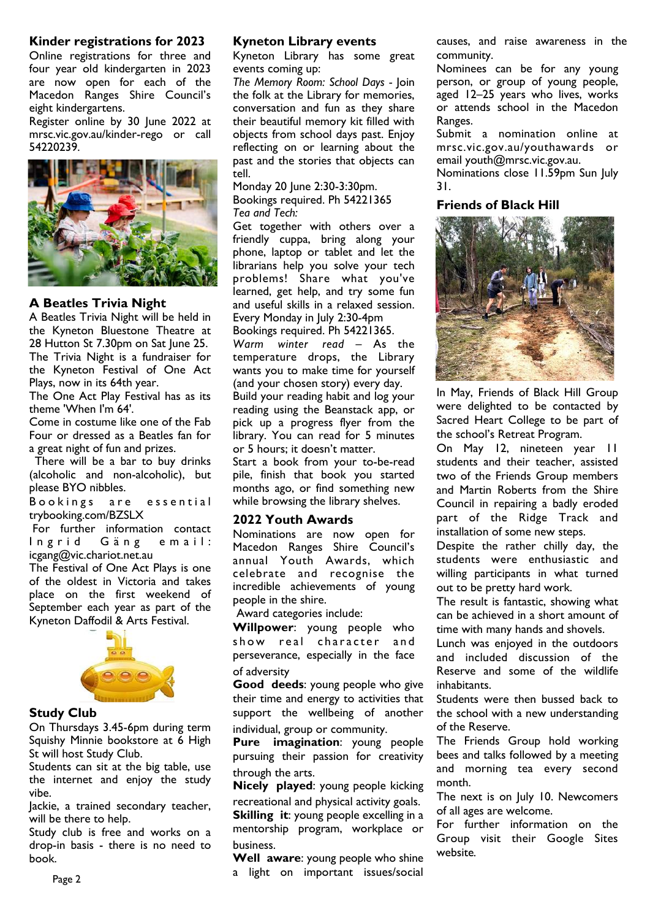### **Kinder registrations for 2023**

Online registrations for three and four year old kindergarten in 2023 are now open for each of the Macedon Ranges Shire Council's eight kindergartens.

Register online by 30 June 2022 at [mrsc.vic.gov.au/kinder-rego](http://mrsc.vic.gov.au/kinder-rego) or call 54220239.



## **A Beatles Trivia Night**

A Beatles Trivia Night will be held in the Kyneton Bluestone Theatre at 28 Hutton St 7.30pm on Sat June 25. The Trivia Night is a fundraiser for the Kyneton Festival of One Act Plays, now in its 64th year.

The One Act Play Festival has as its theme 'When I'm 64'.

Come in costume like one of the Fab Four or dressed as a Beatles fan for a great night of fun and prizes.

There will be a bar to buy drinks (alcoholic and non-alcoholic), but please BYO nibbles.

Bookings are essential [trybooking.com/BZSLX](https://www.trybooking.com/BZSLX)

For further information contact Ingrid Gäng email: icgang@vic.chariot.net.au

The Festival of One Act Plays is one of the oldest in Victoria and takes place on the first weekend of September each year as part of the Kyneton Daffodil & Arts Festival.



### **Study Club**

On Thursdays 3.45-6pm during term Squishy Minnie bookstore at 6 High St will host Study Club.

Students can sit at the big table, use the internet and enjoy the study vibe.

Jackie, a trained secondary teacher, will be there to help.

Study club is free and works on a drop-in basis - there is no need to book.

#### **Kyneton Library events**

Kyneton Library has some great events coming up:

*The Memory Room: School Days -* Join the folk at the Library for memories, conversation and fun as they share their beautiful memory kit filled with objects from school days past. Enjoy reflecting on or learning about the past and the stories that objects can tell.

Monday 20 June 2:30-3:30pm. Bookings required. Ph 54221365 *Tea and Tech:*

Get together with others over a friendly cuppa, bring along your phone, laptop or tablet and let the librarians help you solve your tech problems! Share what you've learned, get help, and try some fun and useful skills in a relaxed session. Every Monday in July 2:30-4pm

Bookings required. Ph 54221365. *Warm winter read* – As the

temperature drops, the Library wants you to make time for yourself (and your chosen story) every day.

Build your reading habit and log your reading using the Beanstack app, or pick up a progress flyer from the library. You can read for 5 minutes or 5 hours; it doesn't matter.

Start a book from your to-be-read pile, finish that book you started months ago, or find something new while browsing the library shelves.

### **2022 Youth Awards**

Nominations are now open for Macedon Ranges Shire Council's annual Youth Awards, which celebrate and recognise the incredible achievements of young people in the shire.

Award categories include:

**Willpower**: young people who show real character and perseverance, especially in the face of adversity

**Good deeds**: young people who give their time and energy to activities that support the wellbeing of another individual, group or community.

**Pure imagination**: young people pursuing their passion for creativity through the arts.

**Nicely played**: young people kicking recreational and physical activity goals. **Skilling it: young people excelling in a** mentorship program, workplace or business.

**Well aware**: young people who shine a light on important issues/social

causes, and raise awareness in the community.

Nominees can be for any young person, or group of young people, aged 12–25 years who lives, works or attends school in the Macedon Ranges.

Submit a nomination online at mrsc.vic.gov.au/youthawards or email [youth@mrsc.vic.gov.au.](mailto:youth@mrsc.vic.gov.au)

Nominations close 11.59pm Sun July 31.

# **Friends of Black Hill**



In May, Friends of Black Hill Group were delighted to be contacted by Sacred Heart College to be part of the school's Retreat Program.

On May 12, nineteen year 11 students and their teacher, assisted two of the Friends Group members and Martin Roberts from the Shire Council in repairing a badly eroded part of the Ridge Track and installation of some new steps.

Despite the rather chilly day, the students were enthusiastic and willing participants in what turned out to be pretty hard work.

The result is fantastic, showing what can be achieved in a short amount of time with many hands and shovels.

Lunch was enjoyed in the outdoors and included discussion of the Reserve and some of the wildlife inhabitants.

Students were then bussed back to the school with a new understanding of the Reserve.

The Friends Group hold working bees and talks followed by a meeting and morning tea every second month.

The next is on July 10. Newcomers of all ages are welcome.

For further information on the Group visit their Google Sites website*.*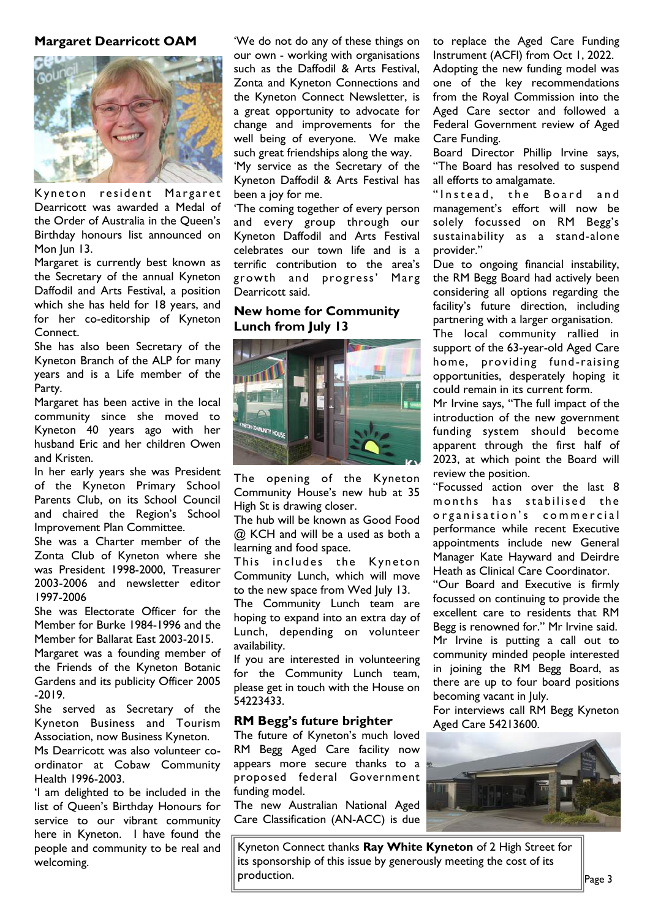### **Margaret Dearricott OAM**



Kyneton resident Margaret Dearricott was awarded a Medal of the Order of Australia in the Queen's Birthday honours list announced on Mon Jun 13.

Margaret is currently best known as the Secretary of the annual Kyneton Daffodil and Arts Festival, a position which she has held for 18 years, and for her co-editorship of Kyneton Connect.

She has also been Secretary of the Kyneton Branch of the ALP for many years and is a Life member of the Party.

Margaret has been active in the local community since she moved to Kyneton 40 years ago with her husband Eric and her children Owen and Kristen.

In her early years she was President of the Kyneton Primary School Parents Club, on its School Council and chaired the Region's School Improvement Plan Committee.

She was a Charter member of the Zonta Club of Kyneton where she was President 1998-2000, Treasurer 2003-2006 and newsletter editor 1997-2006

She was Electorate Officer for the Member for Burke 1984-1996 and the Member for Ballarat East 2003-2015.

Margaret was a founding member of the Friends of the Kyneton Botanic Gardens and its publicity Officer 2005 -2019.

She served as Secretary of the Kyneton Business and Tourism Association, now Business Kyneton.

Ms Dearricott was also volunteer coordinator at Cobaw Community Health 1996-2003.

'I am delighted to be included in the list of Queen's Birthday Honours for service to our vibrant community here in Kyneton. I have found the people and community to be real and welcoming.

'We do not do any of these things on our own - working with organisations such as the Daffodil & Arts Festival, Zonta and Kyneton Connections and the Kyneton Connect Newsletter, is a great opportunity to advocate for change and improvements for the well being of everyone. We make such great friendships along the way.

'My service as the Secretary of the Kyneton Daffodil & Arts Festival has been a joy for me.

'The coming together of every person and every group through our Kyneton Daffodil and Arts Festival celebrates our town life and is a terrific contribution to the area's growth and progress' Marg Dearricott said.

# **New home for Community Lunch from July 13**



The opening of the Kyneton Community House's new hub at 35 High St is drawing closer.

The hub will be known as Good Food @ KCH and will be a used as both a learning and food space.

This includes the Kyneton Community Lunch, which will move to the new space from Wed July 13.

The Community Lunch team are hoping to expand into an extra day of Lunch, depending on volunteer availability.

If you are interested in volunteering for the Community Lunch team, please get in touch with the House on 54223433.

### **RM Begg's future brighter**

The future of Kyneton's much loved RM Begg Aged Care facility now appears more secure thanks to a proposed federal Government funding model.

The new Australian National Aged Care Classification (AN-ACC) is due to replace the Aged Care Funding Instrument (ACFI) from Oct 1, 2022. Adopting the new funding model was one of the key recommendations from the Royal Commission into the Aged Care sector and followed a Federal Government review of Aged Care Funding.

Board Director Phillip Irvine says, "The Board has resolved to suspend all efforts to amalgamate.

" Instead, the Board and management's effort will now be solely focussed on RM Begg's sustainability as a stand-alone provider."

Due to ongoing financial instability, the RM Begg Board had actively been considering all options regarding the facility's future direction, including partnering with a larger organisation.

The local community rallied in support of the 63-year-old Aged Care home, providing fund-raising opportunities, desperately hoping it could remain in its current form.

Mr Irvine says, "The full impact of the introduction of the new government funding system should become apparent through the first half of 2023, at which point the Board will review the position.

"Focussed action over the last 8 months has stabilised the organisation's commercial performance while recent Executive appointments include new General Manager Kate Hayward and Deirdre Heath as Clinical Care Coordinator.

"Our Board and Executive is firmly focussed on continuing to provide the excellent care to residents that RM Begg is renowned for." Mr Irvine said. Mr Irvine is putting a call out to community minded people interested in joining the RM Begg Board, as there are up to four board positions becoming vacant in July.

For interviews call RM Begg Kyneton Aged Care 54213600.



Kyneton Connect thanks **Ray White Kyneton** of 2 High Street for its sponsorship of this issue by generously meeting the cost of its production.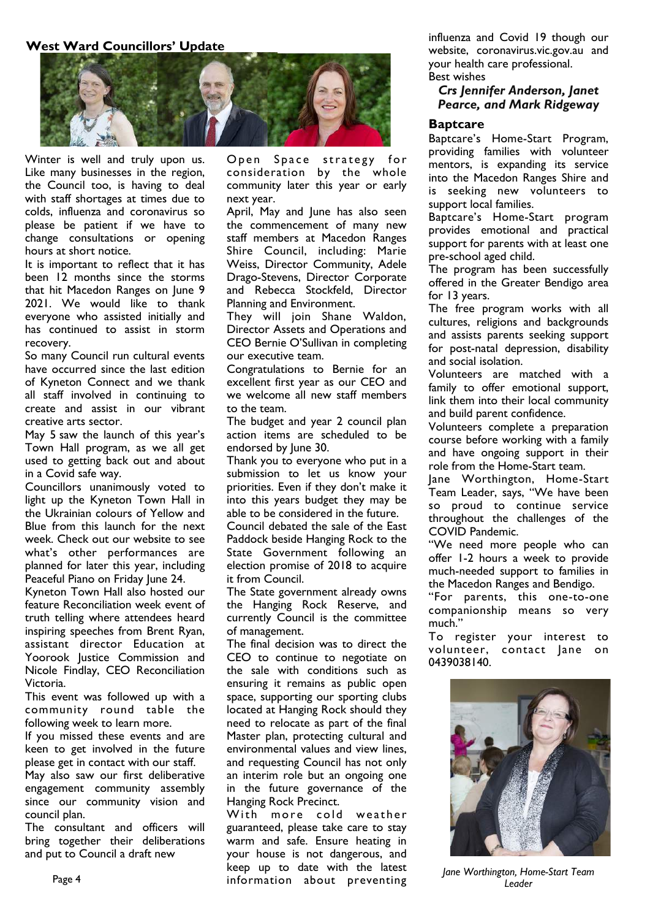## **West Ward Councillors' Update**



Winter is well and truly upon us. Like many businesses in the region, the Council too, is having to deal with staff shortages at times due to colds, influenza and coronavirus so please be patient if we have to change consultations or opening hours at short notice.

It is important to reflect that it has been 12 months since the storms that hit Macedon Ranges on June 9 2021. We would like to thank everyone who assisted initially and has continued to assist in storm recovery.

So many Council run cultural events have occurred since the last edition of Kyneton Connect and we thank all staff involved in continuing to create and assist in our vibrant creative arts sector.

May 5 saw the launch of this year's Town Hall program, as we all get used to getting back out and about in a Covid safe way.

Councillors unanimously voted to light up the Kyneton Town Hall in the Ukrainian colours of Yellow and Blue from this launch for the next week. Check out our website to see what's other performances are planned for later this year, including Peaceful Piano on Friday June 24.

Kyneton Town Hall also hosted our feature Reconciliation week event of truth telling where attendees heard inspiring speeches from Brent Ryan, assistant director Education at Yoorook Justice Commission and Nicole Findlay, CEO Reconciliation Victoria.

This event was followed up with a community round table the following week to learn more.

If you missed these events and are keen to get involved in the future please get in contact with our staff.

May also saw our first deliberative engagement community assembly since our community vision and council plan.

The consultant and officers will bring together their deliberations and put to Council a draft new

Open Space strategy for consideration by the whole community later this year or early next year.

April, May and June has also seen the commencement of many new staff members at Macedon Ranges Shire Council, including: Marie Weiss, Director Community, Adele Drago-Stevens, Director Corporate and Rebecca Stockfeld, Director Planning and Environment.

They will join Shane Waldon, Director Assets and Operations and CEO Bernie O'Sullivan in completing our executive team.

Congratulations to Bernie for an excellent first year as our CEO and we welcome all new staff members to the team.

The budget and year 2 council plan action items are scheduled to be endorsed by June 30.

Thank you to everyone who put in a submission to let us know your priorities. Even if they don't make it into this years budget they may be able to be considered in the future. Council debated the sale of the East Paddock beside Hanging Rock to the State Government following an election promise of 2018 to acquire it from Council.

The State government already owns the Hanging Rock Reserve, and currently Council is the committee of management.

The final decision was to direct the CEO to continue to negotiate on the sale with conditions such as ensuring it remains as public open space, supporting our sporting clubs located at Hanging Rock should they need to relocate as part of the final Master plan, protecting cultural and environmental values and view lines, and requesting Council has not only an interim role but an ongoing one in the future governance of the Hanging Rock Precinct.

With more cold weather guaranteed, please take care to stay warm and safe. Ensure heating in your house is not dangerous, and keep up to date with the latest information about preventing

influenza and Covid 19 though our website, coronavirus.vic.gov.au and your health care professional. Best wishes

# *Crs Jennifer Anderson, Janet Pearce, and Mark Ridgeway*

#### **Baptcare**

Baptcare's Home-Start Program, providing families with volunteer mentors, is expanding its service into the Macedon Ranges Shire and is seeking new volunteers to support local families.

Baptcare's Home-Start program provides emotional and practical support for parents with at least one pre-school aged child.

The program has been successfully offered in the Greater Bendigo area for 13 years.

The free program works with all cultures, religions and backgrounds and assists parents seeking support for post-natal depression, disability and social isolation.

Volunteers are matched with a family to offer emotional support, link them into their local community and build parent confidence.

Volunteers complete a preparation course before working with a family and have ongoing support in their role from the Home-Start team.

Jane Worthington, Home-Start Team Leader, says, "We have been so proud to continue service throughout the challenges of the COVID Pandemic.

"We need more people who can offer 1-2 hours a week to provide much-needed support to families in the Macedon Ranges and Bendigo.

"For parents, this one-to-one companionship means so very much."

To register your interest to volunteer, contact Jane on 0439038140.



*Jane Worthington, Home-Start Team Leader*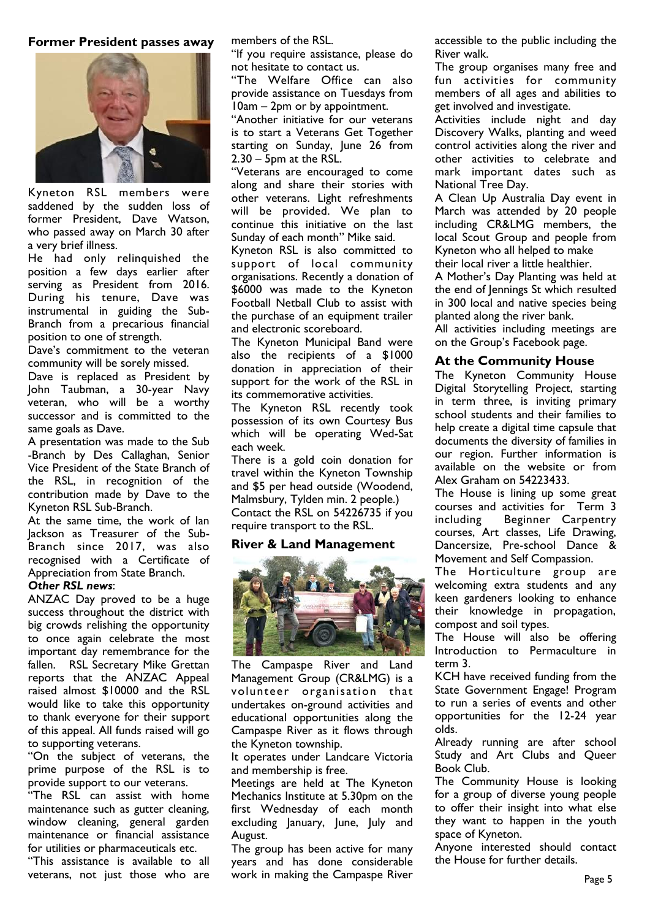### **Former President passes away**



Kyneton RSL members were saddened by the sudden loss of former President, Dave Watson, who passed away on March 30 after a very brief illness.

He had only relinquished the position a few days earlier after serving as President from 2016. During his tenure, Dave was instrumental in guiding the Sub-Branch from a precarious financial position to one of strength.

Dave's commitment to the veteran community will be sorely missed.

Dave is replaced as President by John Taubman, a 30-year Navy veteran, who will be a worthy successor and is committed to the same goals as Dave.

A presentation was made to the Sub -Branch by Des Callaghan, Senior Vice President of the State Branch of the RSL, in recognition of the contribution made by Dave to the Kyneton RSL Sub-Branch.

At the same time, the work of Ian Jackson as Treasurer of the Sub-Branch since 2017, was also recognised with a Certificate of Appreciation from State Branch.

### *Other RSL news*:

ANZAC Day proved to be a huge success throughout the district with big crowds relishing the opportunity to once again celebrate the most important day remembrance for the fallen. RSL Secretary Mike Grettan reports that the ANZAC Appeal raised almost \$10000 and the RSL would like to take this opportunity to thank everyone for their support of this appeal. All funds raised will go to supporting veterans.

"On the subject of veterans, the prime purpose of the RSL is to provide support to our veterans.

"The RSL can assist with home maintenance such as gutter cleaning, window cleaning, general garden maintenance or financial assistance for utilities or pharmaceuticals etc.

"This assistance is available to all veterans, not just those who are

members of the RSL.

"If you require assistance, please do not hesitate to contact us.

"The Welfare Office can also provide assistance on Tuesdays from 10am – 2pm or by appointment.

"Another initiative for our veterans is to start a Veterans Get Together starting on Sunday, June 26 from 2.30 – 5pm at the RSL.

"Veterans are encouraged to come along and share their stories with other veterans. Light refreshments will be provided. We plan to continue this initiative on the last Sunday of each month" Mike said.

Kyneton RSL is also committed to support of local community organisations. Recently a donation of \$6000 was made to the Kyneton Football Netball Club to assist with the purchase of an equipment trailer and electronic scoreboard.

The Kyneton Municipal Band were also the recipients of a \$1000 donation in appreciation of their support for the work of the RSL in its commemorative activities.

The Kyneton RSL recently took possession of its own Courtesy Bus which will be operating Wed-Sat each week.

There is a gold coin donation for travel within the Kyneton Township and \$5 per head outside (Woodend, Malmsbury, Tylden min. 2 people.) Contact the RSL on 54226735 if you require transport to the RSL.

## **River & Land Management**



The Campaspe River and Land Management Group (CR&LMG) is a volunteer organisation that undertakes on-ground activities and educational opportunities along the Campaspe River as it flows through the Kyneton township.

It operates under Landcare Victoria and membership is free.

Meetings are held at The Kyneton Mechanics Institute at 5.30pm on the first Wednesday of each month excluding January, June, July and August.

The group has been active for many years and has done considerable work in making the Campaspe River

accessible to the public including the River walk.

The group organises many free and fun activities for community members of all ages and abilities to get involved and investigate.

Activities include night and day Discovery Walks, planting and weed control activities along the river and other activities to celebrate and mark important dates such as National Tree Day.

A Clean Up Australia Day event in March was attended by 20 people including CR&LMG members, the local Scout Group and people from Kyneton who all helped to make their local river a little healthier.

A Mother's Day Planting was held at the end of Jennings St which resulted in 300 local and native species being planted along the river bank.

All activities including meetings are on the Group's Facebook page.

### **At the Community House**

The Kyneton Community House Digital Storytelling Project, starting in term three, is inviting primary school students and their families to help create a digital time capsule that documents the diversity of families in our region. Further information is available on the website or from Alex Graham on 54223433.

The House is lining up some great courses and activities for Term 3 including Beginner Carpentry courses, Art classes, Life Drawing, Dancersize, Pre-school Dance & Movement and Self Compassion.

The Horticulture group are welcoming extra students and any keen gardeners looking to enhance their knowledge in propagation, compost and soil types.

The House will also be offering Introduction to Permaculture in term 3.

KCH have received funding from the State Government Engage! Program to run a series of events and other opportunities for the 12-24 year olds.

Already running are after school Study and Art Clubs and Queer Book Club.

The Community House is looking for a group of diverse young people to offer their insight into what else they want to happen in the youth space of Kyneton.

Anyone interested should contact the House for further details.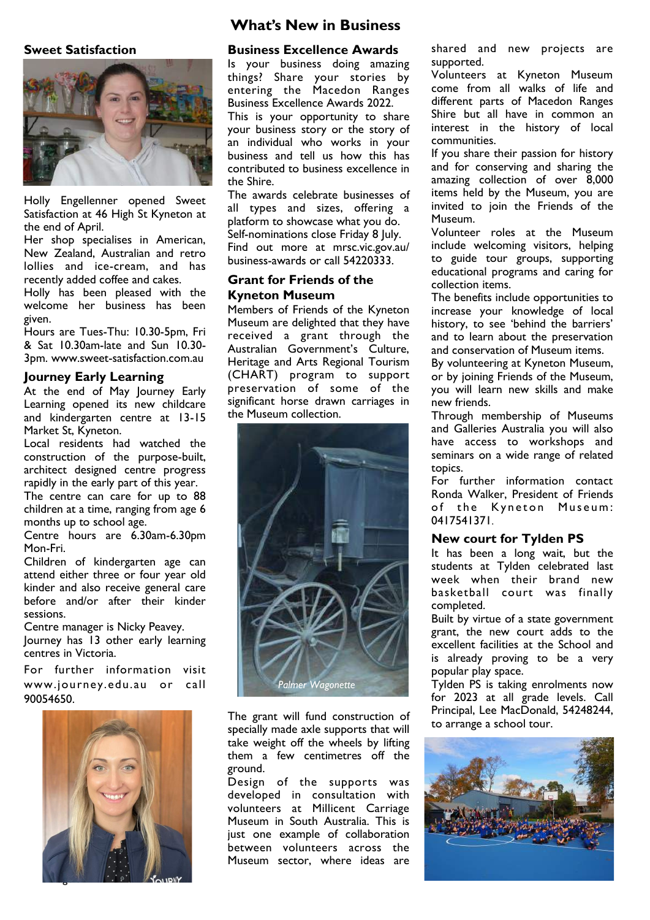### **Sweet Satisfaction**



Holly Engellenner opened Sweet Satisfaction at 46 High St Kyneton at the end of April.

Her shop specialises in American, New Zealand, Australian and retro lollies and ice-cream, and has recently added coffee and cakes.

Holly has been pleased with the welcome her business has been given.

Hours are Tues-Thu: 10.30-5pm, Fri & Sat 10.30am-late and Sun 10.30- 3pm. [www.sweet-satisfaction.com.au](http://www.sweet-satisfaction.com.au) 

#### **Journey Early Learning**

At the end of May Journey Early Learning opened its new childcare and kindergarten centre at 13-15 Market St, Kyneton.

Local residents had watched the construction of the purpose-built, architect designed centre progress rapidly in the early part of this year.

The centre can care for up to 88 children at a time, ranging from age 6 months up to school age.

Centre hours are 6.30am-6.30pm Mon-Fri.

Children of kindergarten age can attend either three or four year old kinder and also receive general care before and/or after their kinder sessions.

Centre manager is Nicky Peavey.

Journey has 13 other early learning centres in Victoria.

For further information visit www.journey.edu.au or call 90054650.



# **What's New in Business**

#### **Business Excellence Awards**

Is your business doing amazing things? Share your stories by entering the Macedon Ranges Business Excellence Awards 2022.

This is your opportunity to share your business story or the story of an individual who works in your business and tell us how this has contributed to business excellence in the Shire.

The awards celebrate businesses of all types and sizes, offering a platform to showcase what you do. Self-nominations close Friday 8 July. Find out more at [mrsc.vic.gov.au/](file:///C:/Users/Margaret/E%20Drive/Contents%20%20OLD%20E/ERIC/Kyneton%20Connect%20June%202022/mrsc.vic.gov.au/business-awards) [business-awards o](file:///C:/Users/Margaret/E%20Drive/Contents%20%20OLD%20E/ERIC/Kyneton%20Connect%20June%202022/mrsc.vic.gov.au/business-awards)r call 54220333.

### **Grant for Friends of the Kyneton Museum**

Members of Friends of the Kyneton Museum are delighted that they have received a grant through the Australian Government's Culture, Heritage and Arts Regional Tourism (CHART) program to support preservation of some of the significant horse drawn carriages in the Museum collection.



The grant will fund construction of specially made axle supports that will take weight off the wheels by lifting them a few centimetres off the ground.

Design of the supports was developed in consultation with volunteers at Millicent Carriage Museum in South Australia. This is just one example of collaboration between volunteers across the Museum sector, where ideas are

shared and new projects are supported.

Volunteers at Kyneton Museum come from all walks of life and different parts of Macedon Ranges Shire but all have in common an interest in the history of local communities.

If you share their passion for history and for conserving and sharing the amazing collection of over 8,000 items held by the Museum, you are invited to join the Friends of the Museum.

Volunteer roles at the Museum include welcoming visitors, helping to guide tour groups, supporting educational programs and caring for collection items.

The benefits include opportunities to increase your knowledge of local history, to see 'behind the barriers' and to learn about the preservation and conservation of Museum items.

By volunteering at Kyneton Museum, or by joining Friends of the Museum, you will learn new skills and make new friends.

Through membership of Museums and Galleries Australia you will also have access to workshops and seminars on a wide range of related topics.

For further information contact Ronda Walker, President of Friends of the Kyneton Museum: 0417541371.

#### **New court for Tylden PS**

It has been a long wait, but the students at Tylden celebrated last week when their brand new basketball court was finally completed.

Built by virtue of a state government grant, the new court adds to the excellent facilities at the School and is already proving to be a very popular play space.

Tylden PS is taking enrolments now for 2023 at all grade levels. Call Principal, Lee MacDonald, 54248244, to arrange a school tour.

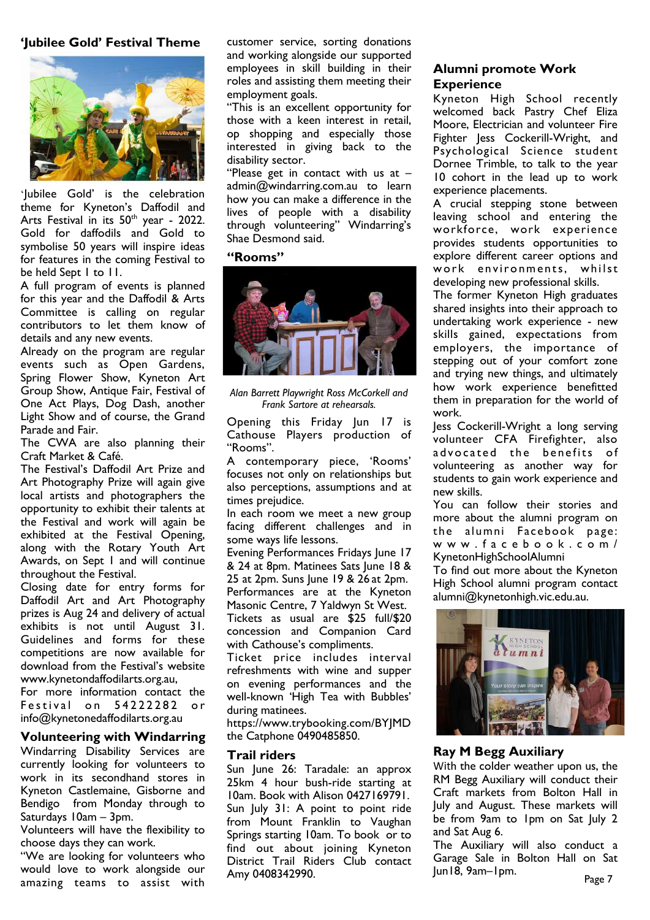## **'Jubilee Gold' Festival Theme**



'Jubilee Gold' is the celebration theme for Kyneton's Daffodil and Arts Festival in its  $50<sup>th</sup>$  year - 2022. Gold for daffodils and Gold to symbolise 50 years will inspire ideas for features in the coming Festival to be held Sept 1 to 11.

A full program of events is planned for this year and the Daffodil & Arts Committee is calling on regular contributors to let them know of details and any new events.

Already on the program are regular events such as Open Gardens, Spring Flower Show, Kyneton Art Group Show, Antique Fair, Festival of One Act Plays, Dog Dash, another Light Show and of course, the Grand Parade and Fair.

The CWA are also planning their Craft Market & Café.

The Festival's Daffodil Art Prize and Art Photography Prize will again give local artists and photographers the opportunity to exhibit their talents at the Festival and work will again be exhibited at the Festival Opening, along with the Rotary Youth Art Awards, on Sept 1 and will continue throughout the Festival.

Closing date for entry forms for Daffodil Art and Art Photography prizes is Aug 24 and delivery of actual exhibits is not until August 31. Guidelines and forms for these competitions are now available for download from the Festival's website [www.kynetondaffodilarts.org.au,](http://www.kynetondaffodilarts.org.au) 

For more information contact the Festival on 54222282 or [info@kynetonedaffodilarts.org.au](mailto:info@kynetonedaffodilarts.org.au) 

## **Volunteering with Windarring**

Windarring Disability Services are currently looking for volunteers to work in its secondhand stores in Kyneton Castlemaine, Gisborne and Bendigo from Monday through to Saturdays 10am – 3pm.

Volunteers will have the flexibility to choose days they can work.

"We are looking for volunteers who would love to work alongside our amazing teams to assist with customer service, sorting donations and working alongside our supported employees in skill building in their roles and assisting them meeting their employment goals.

"This is an excellent opportunity for those with a keen interest in retail, op shopping and especially those interested in giving back to the disability sector.

"Please get in contact with us at – [admin@windarring.com.au](mailto:admin@windarring.com.au) to learn how you can make a difference in the lives of people with a disability through volunteering" Windarring's Shae Desmond said.

#### **"Rooms"**



*Alan Barrett Playwright Ross McCorkell and Frank Sartore at rehearsals.*

Opening this Friday Jun 17 is Cathouse Players production of "Rooms".

A contemporary piece, 'Rooms' focuses not only on relationships but also perceptions, assumptions and at times prejudice.

In each room we meet a new group facing different challenges and in some ways life lessons.

Evening Performances Fridays June 17 & 24 at 8pm. Matinees Sats June 18 & 25 at 2pm. Suns June 19 & 26 at 2pm. Performances are at the Kyneton Masonic Centre, 7 Yaldwyn St West. Tickets as usual are \$25 full/\$20

concession and Companion Card with Cathouse's compliments.

Ticket price includes interval refreshments with wine and supper on evening performances and the well-known 'High Tea with Bubbles' during matinees.

[https://www.trybooking.com/BYJMD](https://www.trybooking.com/BYJMD%20)  the Catphone 0490485850.

### **Trail riders**

Sun June 26: Taradale: an approx 25km 4 hour bush-ride starting at 10am. Book with Alison 0427169791. Sun July 31: A point to point ride from Mount Franklin to Vaughan Springs starting 10am. To book or to find out about joining Kyneton District Trail Riders Club contact Amy 0408342990.

# **Alumni promote Work Experience**

Kyneton High School recently welcomed back Pastry Chef Eliza Moore, Electrician and volunteer Fire Fighter Jess Cockerill-Wright, and Psychological Science student Dornee Trimble, to talk to the year 10 cohort in the lead up to work experience placements.

A crucial stepping stone between leaving school and entering the workforce, work experience provides students opportunities to explore different career options and work environments, whilst developing new professional skills.

The former Kyneton High graduates shared insights into their approach to undertaking work experience - new skills gained, expectations from employers, the importance of stepping out of your comfort zone and trying new things, and ultimately how work experience benefitted them in preparation for the world of work.

Jess Cockerill-Wright a long serving volunteer CFA Firefighter, also advocated the benefits of volunteering as another way for students to gain work experience and new skills.

You can follow their stories and more about the alumni program on the alumni Facebook page: [w w w . f a c e b o o k . c o m /](http://www.facebook.com/KynetonHighSchoolAlumni) [KynetonHighSchoolAlumni](http://www.facebook.com/KynetonHighSchoolAlumni) 

To find out more about the Kyneton High School alumni program contact alumni@kynetonhigh.vic.edu.au.



## **Ray M Begg Auxiliary**

With the colder weather upon us, the RM Begg Auxiliary will conduct their Craft markets from Bolton Hall in July and August. These markets will be from 9am to 1pm on Sat July 2 and Sat Aug 6.

The Auxiliary will also conduct a Garage Sale in Bolton Hall on Sat Jun18, 9am–1pm.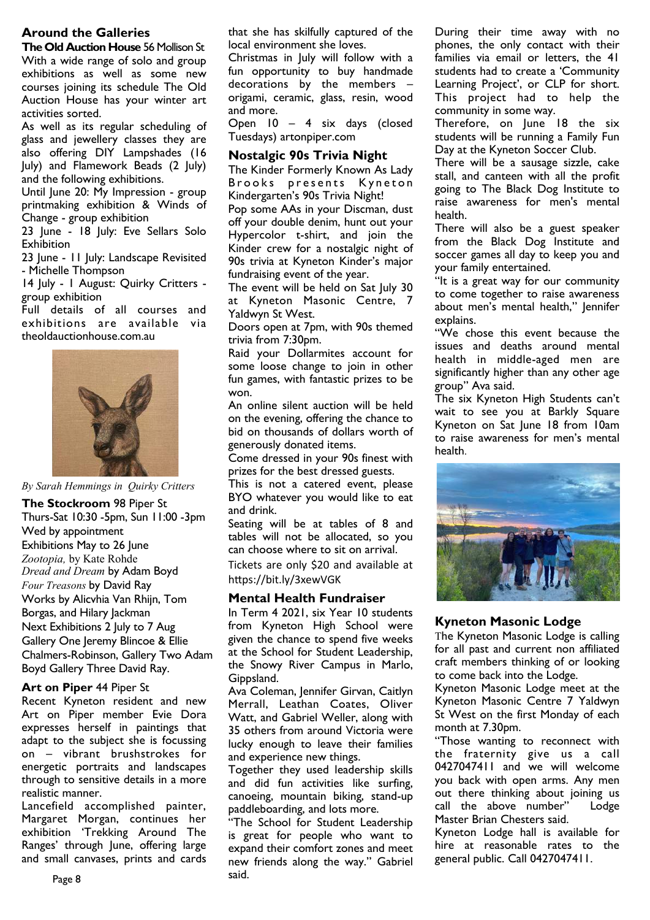# **Around the Galleries**

**The Old Auction House** 56 Mollison St With a wide range of solo and group exhibitions as well as some new courses joining its schedule The Old Auction House has your winter art activities sorted.

As well as its regular scheduling of glass and jewellery classes they are also offering DIY Lampshades (16 July) and Flamework Beads (2 July) and the following exhibitions.

Until June 20: My Impression - group printmaking exhibition & Winds of Change - group exhibition

23 June - 18 July: Eve Sellars Solo **Exhibition** 

23 June - 11 July: Landscape Revisited - Michelle Thompson

14 July - I August: Quirky Critters group exhibition

Full details of all courses and exhibitions are available via [theoldauctionhouse.com.au](http://theoldauctionhouse.com.au)



*By Sarah Hemmings in Quirky Critters* 

**The Stockroom** 98 Piper St Thurs-Sat 10:30 -5pm, Sun 11:00 -3pm Wed by appointment Exhibitions May to 26 June *Zootopia,* by Kate Rohde *Dread and Dream* by Adam Boyd *Four Treasons* by David Ray Works by Alicvhia Van Rhijn, Tom Borgas, and Hilary Jackman Next Exhibitions 2 July to 7 Aug Gallery One Jeremy Blincoe & Ellie Chalmers-Robinson, Gallery Two Adam Boyd Gallery Three David Ray.

### **Art on Piper** 44 Piper St

Recent Kyneton resident and new Art on Piper member Evie Dora expresses herself in paintings that adapt to the subject she is focussing on – vibrant brushstrokes for energetic portraits and landscapes through to sensitive details in a more realistic manner.

Lancefield accomplished painter, Margaret Morgan, continues her exhibition 'Trekking Around The Ranges' through June, offering large and small canvases, prints and cards

that she has skilfully captured of the local environment she loves.

Christmas in July will follow with a fun opportunity to buy handmade decorations by the members origami, ceramic, glass, resin, wood and more.

Open 10 – 4 six days (closed Tuesdays) artonpiper.com

### **Nostalgic 90s Trivia Night**

The Kinder Formerly Known As Lady Brooks presents Kyneton Kindergarten's 90s Trivia Night!

Pop some AAs in your Discman, dust off your double denim, hunt out your Hypercolor t-shirt, and join the Kinder crew for a nostalgic night of 90s trivia at Kyneton Kinder's major fundraising event of the year.

The event will be held on Sat July 30 at Kyneton Masonic Centre, 7 Yaldwyn St West.

Doors open at 7pm, with 90s themed trivia from 7:30pm.

Raid your Dollarmites account for some loose change to join in other fun games, with fantastic prizes to be won.

An online silent auction will be held on the evening, offering the chance to bid on thousands of dollars worth of generously donated items.

Come dressed in your 90s finest with prizes for the best dressed guests.

This is not a catered event, please BYO whatever you would like to eat and drink.

Seating will be at tables of 8 and tables will not be allocated, so you can choose where to sit on arrival.

Tickets are only \$20 and available at <https://bit.ly/3xewVGK>

### **Mental Health Fundraiser**

In Term 4 2021, six Year 10 students from Kyneton High School were given the chance to spend five weeks at the School for Student Leadership, the Snowy River Campus in Marlo, Gippsland.

Ava Coleman, Jennifer Girvan, Caitlyn Merrall, Leathan Coates, Oliver Watt, and Gabriel Weller, along with 35 others from around Victoria were lucky enough to leave their families and experience new things.

Together they used leadership skills and did fun activities like surfing, canoeing, mountain biking, stand-up paddleboarding, and lots more.

"The School for Student Leadership is great for people who want to expand their comfort zones and meet new friends along the way." Gabriel said.

During their time away with no phones, the only contact with their families via email or letters, the 41 students had to create a 'Community Learning Project', or CLP for short. This project had to help the community in some way.

Therefore, on June 18 the six students will be running a Family Fun Day at the Kyneton Soccer Club.

There will be a sausage sizzle, cake stall, and canteen with all the profit going to The Black Dog Institute to raise awareness for men's mental health.

There will also be a guest speaker from the Black Dog Institute and soccer games all day to keep you and your family entertained.

"It is a great way for our community to come together to raise awareness about men's mental health," Jennifer explains.

"We chose this event because the issues and deaths around mental health in middle-aged men are significantly higher than any other age group" Ava said.

The six Kyneton High Students can't wait to see you at Barkly Square Kyneton on Sat June 18 from 10am to raise awareness for men's mental health.



### **Kyneton Masonic Lodge**

The Kyneton Masonic Lodge is calling for all past and current non affiliated craft members thinking of or looking to come back into the Lodge.

Kyneton Masonic Lodge meet at the Kyneton Masonic Centre 7 Yaldwyn St West on the first Monday of each month at 7.30pm.

"Those wanting to reconnect with the fraternity give us a call 0427047411 and we will welcome you back with open arms. Any men out there thinking about joining us call the above number" Lodge Master Brian Chesters said.

Kyneton Lodge hall is available for hire at reasonable rates to the general public. Call 0427047411.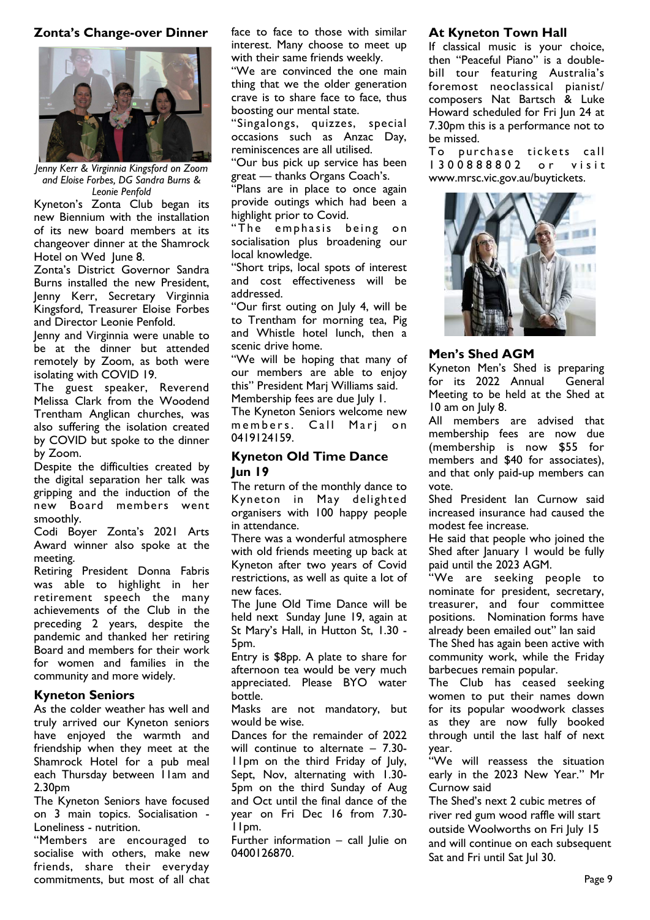# **Zonta's Change-over Dinner**



*Jenny Kerr & Virginnia Kingsford on Zoom and Eloise Forbes, DG Sandra Burns & Leonie Penfold*

Kyneton's Zonta Club began its new Biennium with the installation of its new board members at its changeover dinner at the Shamrock Hotel on Wed June 8.

Zonta's District Governor Sandra Burns installed the new President, Jenny Kerr, Secretary Virginnia Kingsford, Treasurer Eloise Forbes and Director Leonie Penfold.

Jenny and Virginnia were unable to be at the dinner but attended remotely by Zoom, as both were isolating with COVID 19.

The guest speaker, Reverend Melissa Clark from the Woodend Trentham Anglican churches, was also suffering the isolation created by COVID but spoke to the dinner by Zoom.

Despite the difficulties created by the digital separation her talk was gripping and the induction of the new Board members went smoothly.

Codi Boyer Zonta's 2021 Arts Award winner also spoke at the meeting.

Retiring President Donna Fabris was able to highlight in her retirement speech the many achievements of the Club in the preceding 2 years, despite the pandemic and thanked her retiring Board and members for their work for women and families in the community and more widely.

# **Kyneton Seniors**

As the colder weather has well and truly arrived our Kyneton seniors have enjoyed the warmth and friendship when they meet at the Shamrock Hotel for a pub meal each Thursday between 11am and 2.30pm

The Kyneton Seniors have focused on 3 main topics. Socialisation - Loneliness - nutrition.

"Members are encouraged to socialise with others, make new friends, share their everyday commitments, but most of all chat

face to face to those with similar interest. Many choose to meet up with their same friends weekly.

"We are convinced the one main thing that we the older generation crave is to share face to face, thus boosting our mental state.

"Singalongs, quizzes, special occasions such as Anzac Day, reminiscences are all utilised.

"Our bus pick up service has been great — thanks Organs Coach's.

"Plans are in place to once again provide outings which had been a highlight prior to Covid.

"The emphasis being on socialisation plus broadening our local knowledge.

"Short trips, local spots of interest and cost effectiveness will be addressed.

"Our first outing on July 4, will be to Trentham for morning tea, Pig and Whistle hotel lunch, then a scenic drive home.

"We will be hoping that many of our members are able to enjoy this" President Marj Williams said. Membership fees are due July 1.

The Kyneton Seniors welcome new members. Call Marj on 0419124159.

# **Kyneton Old Time Dance Jun 19**

The return of the monthly dance to Kyneton in May delighted organisers with 100 happy people in attendance.

There was a wonderful atmosphere with old friends meeting up back at Kyneton after two years of Covid restrictions, as well as quite a lot of new faces.

The June Old Time Dance will be held next Sunday June 19, again at St Mary's Hall, in Hutton St, 1.30 - 5pm.

Entry is \$8pp. A plate to share for afternoon tea would be very much appreciated. Please BYO water bottle.

Masks are not mandatory, but would be wise.

Dances for the remainder of 2022 will continue to alternate – 7.30- 11pm on the third Friday of July, Sept, Nov, alternating with 1.30- 5pm on the third Sunday of Aug and Oct until the final dance of the year on Fri Dec 16 from 7.30- 11pm.

Further information – call Julie on 0400126870.

# **At Kyneton Town Hall**

If classical music is your choice, then "Peaceful Piano" is a doublebill tour featuring Australia's foremost neoclassical pianist/ composers Nat Bartsch & Luke Howard scheduled for Fri Jun 24 at 7.30pm this is a performance not to be missed.

To purchase tickets call 1300888802 or visit [www.mrsc.vic.gov.au/buytickets.](http://www.mrsc.vic.gov.au/buytickets)



# **Men's Shed AGM**

Kyneton Men's Shed is preparing for its 2022 Annual General Meeting to be held at the Shed at 10 am on July 8.

All members are advised that membership fees are now due (membership is now \$55 for members and \$40 for associates), and that only paid-up members can vote.

Shed President Ian Curnow said increased insurance had caused the modest fee increase.

He said that people who joined the Shed after January 1 would be fully paid until the 2023 AGM.

"We are seeking people to nominate for president, secretary, treasurer, and four committee positions. Nomination forms have already been emailed out" Ian said

The Shed has again been active with community work, while the Friday barbecues remain popular.

The Club has ceased seeking women to put their names down for its popular woodwork classes as they are now fully booked through until the last half of next year.

'We will reassess the situation early in the 2023 New Year." Mr Curnow said

The Shed's next 2 cubic metres of river red gum wood raffle will start outside Woolworths on Fri July 15 and will continue on each subsequent Sat and Fri until Sat Jul 30.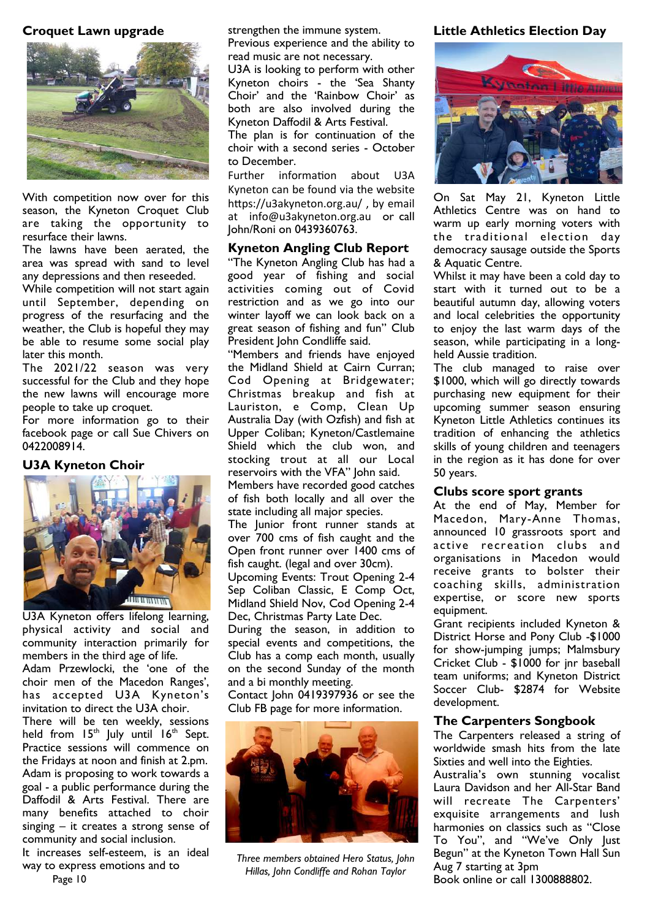# **Croquet Lawn upgrade**



With competition now over for this season, the Kyneton Croquet Club are taking the opportunity to resurface their lawns.

The lawns have been aerated, the area was spread with sand to level any depressions and then reseeded.

While competition will not start again until September, depending on progress of the resurfacing and the weather, the Club is hopeful they may be able to resume some social play later this month.

The 2021/22 season was very successful for the Club and they hope the new lawns will encourage more people to take up croquet.

For more information go to their facebook page or call Sue Chivers on 0422008914.

# **U3A Kyneton Choir**



U3A Kyneton offers lifelong learning, physical activity and social and community interaction primarily for members in the third age of life.

Adam Przewlocki, the 'one of the choir men of the Macedon Ranges', has accepted U3A Kyneton's invitation to direct the U3A choir.

There will be ten weekly, sessions held from  $15<sup>th</sup>$  July until  $16<sup>th</sup>$  Sept. Practice sessions will commence on the Fridays at noon and finish at 2.pm. Adam is proposing to work towards a goal - a public performance during the Daffodil & Arts Festival. There are many benefits attached to choir singing – it creates a strong sense of community and social inclusion. It increases self-esteem, is an ideal

way to express emotions and to

strengthen the immune system. Previous experience and the ability to read music are not necessary.

U3A is looking to perform with other Kyneton choirs - the 'Sea Shanty Choir' and the 'Rainbow Choir' as both are also involved during the Kyneton Daffodil & Arts Festival. The plan is for continuation of the

choir with a second series - October to December.

Further information about U3A Kyneton can be found via the website <https://u3akyneton.org.au/>, by email at [info@u3akyneton.org.au](mailto:info@u3akyneton.org.au) or call John/Roni on 0439360763.

## **Kyneton Angling Club Report**

"The Kyneton Angling Club has had a good year of fishing and social activities coming out of Covid restriction and as we go into our winter layoff we can look back on a great season of fishing and fun" Club President John Condliffe said.

"Members and friends have enjoyed the Midland Shield at Cairn Curran; Cod Opening at Bridgewater; Christmas breakup and fish at Lauriston, e Comp, Clean Up Australia Day (with Ozfish) and fish at Upper Coliban; Kyneton/Castlemaine Shield which the club won, and stocking trout at all our Local reservoirs with the VFA" John said.

Members have recorded good catches of fish both locally and all over the state including all major species.

The lunior front runner stands at over 700 cms of fish caught and the Open front runner over 1400 cms of fish caught. (legal and over 30cm).

Upcoming Events: Trout Opening 2-4 Sep Coliban Classic, E Comp Oct, Midland Shield Nov, Cod Opening 2-4 Dec, Christmas Party Late Dec.

During the season, in addition to special events and competitions, the Club has a comp each month, usually on the second Sunday of the month and a bi monthly meeting.

Contact John 0419397936 or see the Club FB page for more information.



*Three members obtained Hero Status, John Hillas, John Condliffe and Rohan Taylor* 

# **Little Athletics Election Day**



On Sat May 21, [Kyneton Little](https://kynetonlac.com.au/)  [Athletics Centre w](https://kynetonlac.com.au/)as on hand to warm up early morning voters with the traditional election day democracy sausage outside the Sports & Aquatic Centre.

Whilst it may have been a cold day to start with it turned out to be a beautiful autumn day, allowing voters and local celebrities the opportunity to enjoy the last warm days of the season, while participating in a longheld Aussie tradition.

The club managed to raise over \$1000, which will go directly towards purchasing new equipment for their upcoming summer season ensuring Kyneton Little Athletics continues its tradition of enhancing the athletics skills of young children and teenagers in the region as it has done for over 50 years.

### **Clubs score sport grants**

At the end of May, Member for Macedon, Mary-Anne Thomas, announced 10 grassroots sport and active recreation clubs and organisations in Macedon would receive grants to bolster their coaching skills, administration expertise, or score new sports equipment.

Grant recipients included Kyneton & District Horse and Pony Club -\$1000 for show-jumping jumps; Malmsbury Cricket Club - \$1000 for jnr baseball team uniforms; and Kyneton District Soccer Club- \$2874 for Website development.

## **The Carpenters Songbook**

The Carpenters released a string of worldwide smash hits from the late Sixties and well into the Eighties.

Australia's own stunning vocalist Laura Davidson and her All-Star Band will recreate The Carpenters' exquisite arrangements and lush harmonies on classics such as "Close To You", and "We've Only Just Begun" at the Kyneton Town Hall Sun Aug 7 starting at 3pm Book online or call 1300888802.

Page 10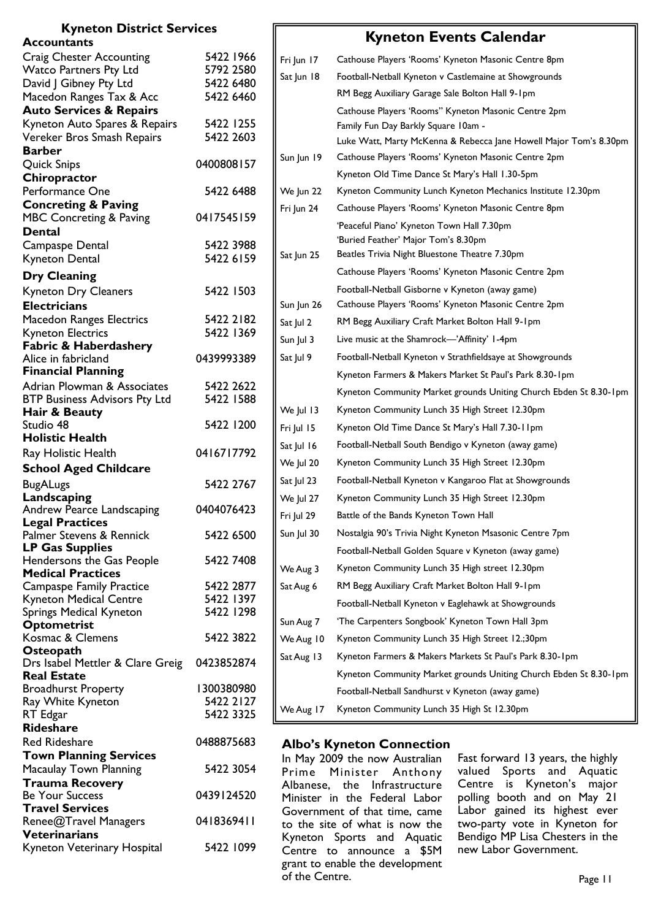| <b>Kyneton District Services</b>                            |                        |                                                                                                                            |                                                                                      |
|-------------------------------------------------------------|------------------------|----------------------------------------------------------------------------------------------------------------------------|--------------------------------------------------------------------------------------|
| <b>Accountants</b>                                          |                        |                                                                                                                            | <b>Kyneton Events Calendar</b>                                                       |
| <b>Craig Chester Accounting</b>                             | 5422 1966              | Fri Jun 17                                                                                                                 | Cathouse Players 'Rooms' Kyneton Masonic Centre 8pm                                  |
| <b>Watco Partners Pty Ltd</b>                               | 5792 2580              | Sat Jun 18                                                                                                                 | Football-Netball Kyneton v Castlemaine at Showgrounds                                |
| David J Gibney Pty Ltd                                      | 5422 6480              |                                                                                                                            | RM Begg Auxiliary Garage Sale Bolton Hall 9-1pm                                      |
| Macedon Ranges Tax & Acc                                    | 5422 6460              |                                                                                                                            |                                                                                      |
| <b>Auto Services &amp; Repairs</b>                          | 5422 1255              |                                                                                                                            | Cathouse Players 'Rooms" Kyneton Masonic Centre 2pm                                  |
| Kyneton Auto Spares & Repairs<br>Vereker Bros Smash Repairs | 5422 2603              |                                                                                                                            | Family Fun Day Barkly Square 10am -                                                  |
| <b>Barber</b>                                               |                        |                                                                                                                            | Luke Watt, Marty McKenna & Rebecca Jane Howell Major Tom's 8.30pm                    |
| <b>Quick Snips</b>                                          | 0400808157             | Sun Jun 19                                                                                                                 | Cathouse Players 'Rooms' Kyneton Masonic Centre 2pm                                  |
| Chiropractor                                                |                        |                                                                                                                            | Kyneton Old Time Dance St Mary's Hall 1.30-5pm                                       |
| Performance One                                             | 5422 6488              | We Jun 22                                                                                                                  | Kyneton Community Lunch Kyneton Mechanics Institute 12.30pm                          |
| <b>Concreting &amp; Paving</b>                              |                        | Fri Jun 24                                                                                                                 | Cathouse Players 'Rooms' Kyneton Masonic Centre 8pm                                  |
| <b>MBC Concreting &amp; Paving</b>                          | 0417545159             |                                                                                                                            |                                                                                      |
| <b>Dental</b>                                               |                        |                                                                                                                            | 'Peaceful Piano' Kyneton Town Hall 7.30pm                                            |
| Campaspe Dental                                             | 5422 3988              |                                                                                                                            | 'Buried Feather' Major Tom's 8.30pm<br>Beatles Trivia Night Bluestone Theatre 7.30pm |
| Kyneton Dental                                              | 5422 6159              | Sat Jun 25                                                                                                                 |                                                                                      |
| <b>Dry Cleaning</b>                                         |                        |                                                                                                                            | Cathouse Players 'Rooms' Kyneton Masonic Centre 2pm                                  |
| <b>Kyneton Dry Cleaners</b>                                 | 5422 1503              |                                                                                                                            | Football-Netball Gisborne v Kyneton (away game)                                      |
| <b>Electricians</b>                                         |                        | Sun Jun 26                                                                                                                 | Cathouse Players 'Rooms' Kyneton Masonic Centre 2pm                                  |
| <b>Macedon Ranges Electrics</b>                             | 5422 2182              | Sat Jul 2                                                                                                                  | RM Begg Auxiliary Craft Market Bolton Hall 9-1pm                                     |
| <b>Kyneton Electrics</b>                                    | 5422 1369              | Sun Jul 3                                                                                                                  | Live music at the Shamrock-'Affinity' 1-4pm                                          |
| Fabric & Haberdashery                                       | 0439993389             | Sat Jul 9                                                                                                                  | Football-Netball Kyneton v Strathfieldsaye at Showgrounds                            |
| Alice in fabricland<br><b>Financial Planning</b>            |                        |                                                                                                                            |                                                                                      |
| Adrian Plowman & Associates                                 | 5422 2622              |                                                                                                                            | Kyneton Farmers & Makers Market St Paul's Park 8.30-1pm                              |
| <b>BTP Business Advisors Pty Ltd</b>                        | 5422 1588              |                                                                                                                            | Kyneton Community Market grounds Uniting Church Ebden St 8.30-1pm                    |
| Hair & Beauty                                               |                        | We Jul 13                                                                                                                  | Kyneton Community Lunch 35 High Street 12.30pm                                       |
| Studio 48                                                   | 5422 1200              | Fri Jul 15                                                                                                                 | Kyneton Old Time Dance St Mary's Hall 7.30-11pm                                      |
| <b>Holistic Health</b>                                      |                        | Sat Jul 16                                                                                                                 | Football-Netball South Bendigo v Kyneton (away game)                                 |
| Ray Holistic Health                                         | 0416717792             | We Jul 20                                                                                                                  | Kyneton Community Lunch 35 High Street 12.30pm                                       |
| <b>School Aged Childcare</b>                                |                        |                                                                                                                            |                                                                                      |
| <b>BugALugs</b>                                             | 5422 2767              | Sat Jul 23                                                                                                                 | Football-Netball Kyneton v Kangaroo Flat at Showgrounds                              |
| Landscaping                                                 |                        | We Jul 27                                                                                                                  | Kyneton Community Lunch 35 High Street 12.30pm                                       |
| Andrew Pearce Landscaping<br><b>Legal Practices</b>         | 0404076423             | Fri Jul 29                                                                                                                 | Battle of the Bands Kyneton Town Hall                                                |
| Palmer Stevens & Rennick                                    | 5422 6500              | Sun Jul 30                                                                                                                 | Nostalgia 90's Trivia Night Kyneton Msasonic Centre 7pm                              |
| <b>LP Gas Supplies</b>                                      |                        |                                                                                                                            | Football-Netball Golden Square v Kyneton (away game)                                 |
| Hendersons the Gas People                                   | 5422 7408              |                                                                                                                            |                                                                                      |
| <b>Medical Practices</b>                                    |                        | We Aug 3                                                                                                                   | Kyneton Community Lunch 35 High street 12.30pm                                       |
| <b>Campaspe Family Practice</b>                             | 5422 2877              | Sat Aug 6                                                                                                                  | RM Begg Auxiliary Craft Market Bolton Hall 9-1pm                                     |
| <b>Kyneton Medical Centre</b>                               | 5422 1397<br>5422 1298 |                                                                                                                            | Football-Netball Kyneton v Eaglehawk at Showgrounds                                  |
| Springs Medical Kyneton<br><b>Optometrist</b>               |                        | Sun Aug 7                                                                                                                  | 'The Carpenters Songbook' Kyneton Town Hall 3pm                                      |
| Kosmac & Clemens                                            | 5422 3822              | We Aug 10                                                                                                                  | Kyneton Community Lunch 35 High Street 12.;30pm                                      |
| Osteopath                                                   |                        |                                                                                                                            |                                                                                      |
| Drs Isabel Mettler & Clare Greig                            | 0423852874             | Sat Aug 13                                                                                                                 | Kyneton Farmers & Makers Markets St Paul's Park 8.30-1pm                             |
| <b>Real Estate</b>                                          |                        |                                                                                                                            | Kyneton Community Market grounds Uniting Church Ebden St 8.30-1pm                    |
| <b>Broadhurst Property</b>                                  | 1300380980             |                                                                                                                            | Football-Netball Sandhurst v Kyneton (away game)                                     |
| Ray White Kyneton<br>RT Edgar                               | 5422 2127<br>5422 3325 | We Aug 17                                                                                                                  | Kyneton Community Lunch 35 High St 12.30pm                                           |
| <b>Rideshare</b>                                            |                        |                                                                                                                            |                                                                                      |
| <b>Red Rideshare</b>                                        | 0488875683             |                                                                                                                            |                                                                                      |
| <b>Town Planning Services</b>                               |                        |                                                                                                                            | <b>Albo's Kyneton Connection</b>                                                     |
| Macaulay Town Planning                                      | 5422 3054              | In May 2009 the now Australian<br>Fast forward 13 years, the highly<br>valued Sports and Aquatic<br>Prime Minister Anthony |                                                                                      |
| <b>Trauma Recovery</b>                                      |                        |                                                                                                                            | Centre is Kyneton's major<br>Albanese, the Infrastructure                            |
| <b>Be Your Success</b>                                      | 0439124520             |                                                                                                                            | polling booth and on May 21<br>Minister in the Federal Labor                         |
| <b>Travel Services</b>                                      |                        |                                                                                                                            | Labor gained its highest ever<br>Government of that time, came                       |
| Renee@Travel Managers                                       | 0418369411             |                                                                                                                            | two-party vote in Kyneton for<br>to the site of what is now the                      |
| <b>Veterinarians</b>                                        |                        |                                                                                                                            | Bendigo MP Lisa Chesters in the<br>Kyneton Sports and Aquatic                        |
| Kyneton Veterinary Hospital                                 | 5422 1099              |                                                                                                                            | new Labor Government.<br>Centre to announce a \$5M                                   |

grant to enable the development

of the Centre.